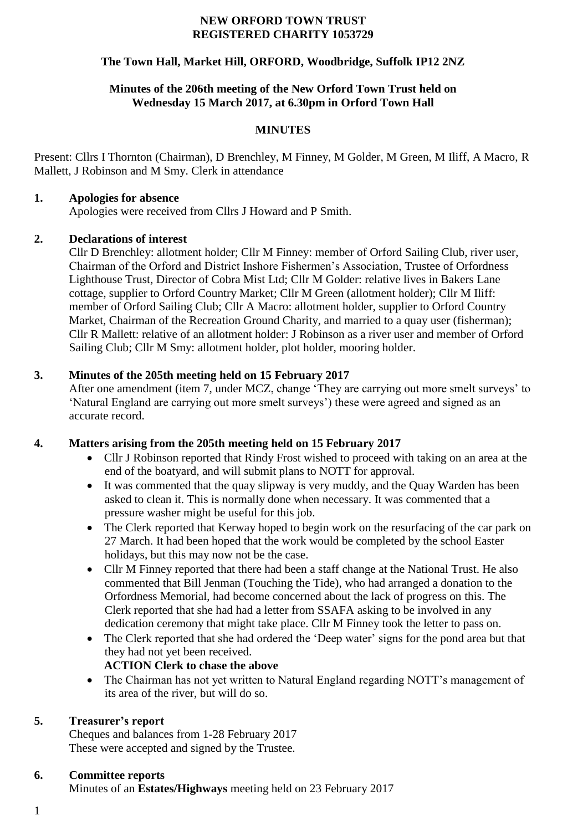#### **NEW ORFORD TOWN TRUST REGISTERED CHARITY 1053729**

# **The Town Hall, Market Hill, ORFORD, Woodbridge, Suffolk IP12 2NZ**

# **Minutes of the 206th meeting of the New Orford Town Trust held on Wednesday 15 March 2017, at 6.30pm in Orford Town Hall**

# **MINUTES**

Present: Cllrs I Thornton (Chairman), D Brenchley, M Finney, M Golder, M Green, M Iliff, A Macro, R Mallett, J Robinson and M Smy. Clerk in attendance

#### **1. Apologies for absence**

Apologies were received from Cllrs J Howard and P Smith.

# **2. Declarations of interest**

Cllr D Brenchley: allotment holder; Cllr M Finney: member of Orford Sailing Club, river user, Chairman of the Orford and District Inshore Fishermen's Association, Trustee of Orfordness Lighthouse Trust, Director of Cobra Mist Ltd; Cllr M Golder: relative lives in Bakers Lane cottage, supplier to Orford Country Market; Cllr M Green (allotment holder); Cllr M Iliff: member of Orford Sailing Club; Cllr A Macro: allotment holder, supplier to Orford Country Market, Chairman of the Recreation Ground Charity, and married to a quay user (fisherman); Cllr R Mallett: relative of an allotment holder: J Robinson as a river user and member of Orford Sailing Club; Cllr M Smy: allotment holder, plot holder, mooring holder.

# **3. Minutes of the 205th meeting held on 15 February 2017**

After one amendment (item 7, under MCZ, change 'They are carrying out more smelt surveys' to 'Natural England are carrying out more smelt surveys') these were agreed and signed as an accurate record.

# **4. Matters arising from the 205th meeting held on 15 February 2017**

- Cllr J Robinson reported that Rindy Frost wished to proceed with taking on an area at the end of the boatyard, and will submit plans to NOTT for approval.
- It was commented that the quay slipway is very muddy, and the Quay Warden has been asked to clean it. This is normally done when necessary. It was commented that a pressure washer might be useful for this job.
- The Clerk reported that Kerway hoped to begin work on the resurfacing of the car park on 27 March. It had been hoped that the work would be completed by the school Easter holidays, but this may now not be the case.
- Cllr M Finney reported that there had been a staff change at the National Trust. He also commented that Bill Jenman (Touching the Tide), who had arranged a donation to the Orfordness Memorial, had become concerned about the lack of progress on this. The Clerk reported that she had had a letter from SSAFA asking to be involved in any dedication ceremony that might take place. Cllr M Finney took the letter to pass on.
- The Clerk reported that she had ordered the 'Deep water' signs for the pond area but that they had not yet been received. **ACTION Clerk to chase the above**

# • The Chairman has not yet written to Natural England regarding NOTT's management of its area of the river, but will do so.

# **5. Treasurer's report**

Cheques and balances from 1-28 February 2017 These were accepted and signed by the Trustee.

#### **6. Committee reports**

Minutes of an **Estates/Highways** meeting held on 23 February 2017

1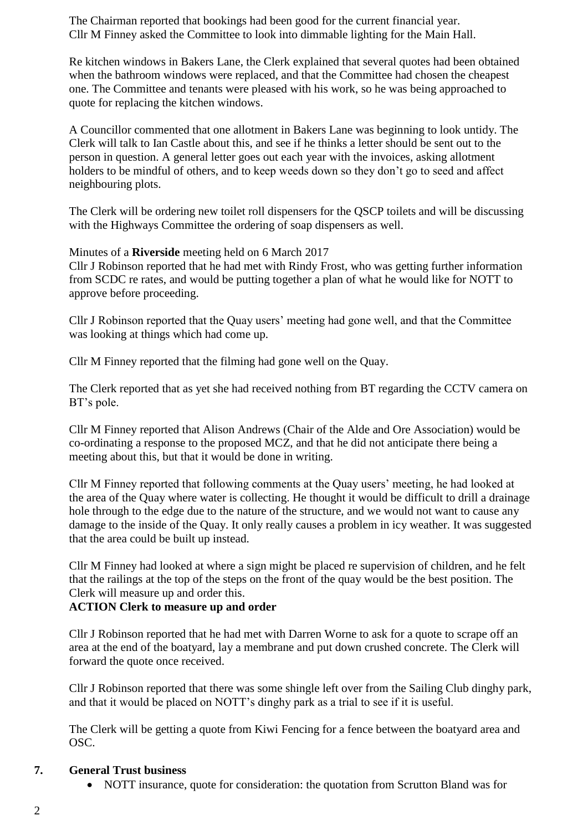The Chairman reported that bookings had been good for the current financial year. Cllr M Finney asked the Committee to look into dimmable lighting for the Main Hall.

Re kitchen windows in Bakers Lane, the Clerk explained that several quotes had been obtained when the bathroom windows were replaced, and that the Committee had chosen the cheapest one. The Committee and tenants were pleased with his work, so he was being approached to quote for replacing the kitchen windows.

A Councillor commented that one allotment in Bakers Lane was beginning to look untidy. The Clerk will talk to Ian Castle about this, and see if he thinks a letter should be sent out to the person in question. A general letter goes out each year with the invoices, asking allotment holders to be mindful of others, and to keep weeds down so they don't go to seed and affect neighbouring plots.

The Clerk will be ordering new toilet roll dispensers for the QSCP toilets and will be discussing with the Highways Committee the ordering of soap dispensers as well.

Minutes of a **Riverside** meeting held on 6 March 2017

Cllr J Robinson reported that he had met with Rindy Frost, who was getting further information from SCDC re rates, and would be putting together a plan of what he would like for NOTT to approve before proceeding.

Cllr J Robinson reported that the Quay users' meeting had gone well, and that the Committee was looking at things which had come up.

Cllr M Finney reported that the filming had gone well on the Quay.

The Clerk reported that as yet she had received nothing from BT regarding the CCTV camera on BT's pole.

Cllr M Finney reported that Alison Andrews (Chair of the Alde and Ore Association) would be co-ordinating a response to the proposed MCZ, and that he did not anticipate there being a meeting about this, but that it would be done in writing.

Cllr M Finney reported that following comments at the Quay users' meeting, he had looked at the area of the Quay where water is collecting. He thought it would be difficult to drill a drainage hole through to the edge due to the nature of the structure, and we would not want to cause any damage to the inside of the Quay. It only really causes a problem in icy weather. It was suggested that the area could be built up instead.

Cllr M Finney had looked at where a sign might be placed re supervision of children, and he felt that the railings at the top of the steps on the front of the quay would be the best position. The Clerk will measure up and order this.

# **ACTION Clerk to measure up and order**

Cllr J Robinson reported that he had met with Darren Worne to ask for a quote to scrape off an area at the end of the boatyard, lay a membrane and put down crushed concrete. The Clerk will forward the quote once received.

Cllr J Robinson reported that there was some shingle left over from the Sailing Club dinghy park, and that it would be placed on NOTT's dinghy park as a trial to see if it is useful.

The Clerk will be getting a quote from Kiwi Fencing for a fence between the boatyard area and OSC.

# **7. General Trust business**

• NOTT insurance, quote for consideration: the quotation from Scrutton Bland was for